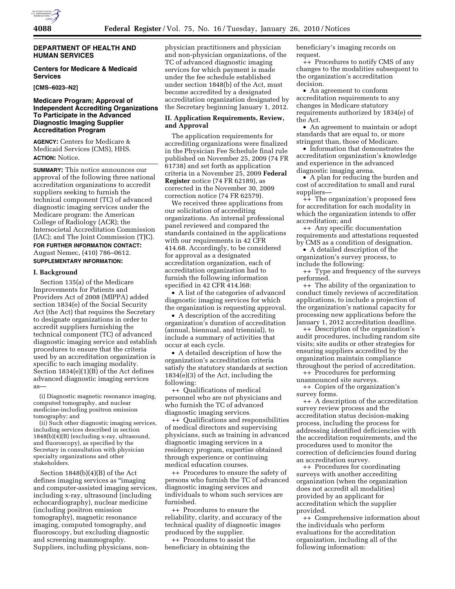

### **DEPARTMENT OF HEALTH AND HUMAN SERVICES**

# **Centers for Medicare & Medicaid Services**

**[CMS–6023–N2]** 

## **Medicare Program; Approval of Independent Accrediting Organizations To Participate in the Advanced Diagnostic Imaging Supplier Accreditation Program**

**AGENCY:** Centers for Medicare & Medicaid Services (CMS), HHS. **ACTION:** Notice.

**SUMMARY:** This notice announces our approval of the following three national accreditation organizations to accredit suppliers seeking to furnish the technical component (TC) of advanced diagnostic imaging services under the Medicare program: the American College of Radiology (ACR); the Intersocietal Accreditation Commission (IAC); and The Joint Commission (TJC). **FOR FURTHER INFORMATION CONTACT:**  August Nemec, (410) 786–0612. **SUPPLEMENTARY INFORMATION:** 

### **I. Background**

Section 135(a) of the Medicare Improvements for Patients and Providers Act of 2008 (MIPPA) added section 1834(e) of the Social Security Act (the Act) that requires the Secretary to designate organizations in order to accredit suppliers furnishing the technical component (TC) of advanced diagnostic imaging service and establish procedures to ensure that the criteria used by an accreditation organization is specific to each imaging modality. Section 1834(e)(1)(B) of the Act defines advanced diagnostic imaging services as—

(i) Diagnostic magnetic resonance imaging, computed tomography, and nuclear medicine-including positron emission tomography; and

(ii) Such other diagnostic imaging services, including services described in section  $1848(b)(4)(B)$  (excluding x-ray, ultrasound, and fluoroscopy), as specified by the Secretary in consultation with physician specialty organizations and other stakeholders.

Section 1848(b)(4)(B) of the Act defines imaging services as ''imaging and computer-assisted imaging services, including x-ray, ultrasound (including echocardiography), nuclear medicine (including positron emission tomography), magnetic resonance imaging, computed tomography, and fluoroscopy, but excluding diagnostic and screening mammography. Suppliers, including physicians, non-

physician practitioners and physician and non-physician organizations, of the TC of advanced diagnostic imaging services for which payment is made under the fee schedule established under section 1848(b) of the Act, must become accredited by a designated accreditation organization designated by the Secretary beginning January 1, 2012.

## **II. Application Requirements, Review, and Approval**

The application requirements for accrediting organizations were finalized in the Physician Fee Schedule final rule published on November 25, 2009 (74 FR 61738) and set forth as application criteria in a November 25, 2009 **Federal Register** notice (74 FR 62189), as corrected in the November 30, 2009 correction notice (74 FR 62579).

We received three applications from our solicitation of accrediting organizations. An internal professional panel reviewed and compared the standards contained in the applications with our requirements in 42 CFR 414.68. Accordingly, to be considered for approval as a designated accreditation organization, each of accreditation organization had to furnish the following information specified in 42 CFR 414.l68:

• A list of the categories of advanced diagnostic imaging services for which the organization is requesting approval.

• A description of the accrediting organization's duration of accreditation (annual, biennual, and triennial), to include a summary of activities that occur at each cycle.

• A detailed description of how the organization's accreditation criteria satisfy the statutory standards at section 1834(e)(3) of the Act, including the following:

++ Qualifications of medical personnel who are not physicians and who furnish the TC of advanced diagnostic imaging services.

++ Qualifications and responsibilities of medical directors and supervising physicians, such as training in advanced diagnostic imaging services in a residency program, expertise obtained through experience or continuing medical education courses.

++ Procedures to ensure the safety of persons who furnish the TC of advanced diagnostic imaging services and individuals to whom such services are furnished.

++ Procedures to ensure the reliability, clarity, and accuracy of the technical quality of diagnostic images produced by the supplier.

++ Procedures to assist the beneficiary in obtaining the

beneficiary's imaging records on request.

++ Procedures to notify CMS of any changes to the modalities subsequent to the organization's accreditation decision.

• An agreement to conform accreditation requirements to any changes in Medicare statutory requirements authorized by 1834(e) of the Act.

• An agreement to maintain or adopt standards that are equal to, or more stringent than, those of Medicare.

• Information that demonstrates the accreditation organization's knowledge and experience in the advanced diagnostic imaging arena.

• A plan for reducing the burden and cost of accreditation to small and rural suppliers—

++ The organization's proposed fees for accreditation for each modality in which the organization intends to offer accreditation; and

++ Any specific documentation requirements and attestations requested by CMS as a condition of designation.

• A detailed description of the organization's survey process, to include the following:

++ Type and frequency of the surveys performed.

++ The ability of the organization to conduct timely reviews of accreditation applications, to include a projection of the organization's national capacity for processing new applications before the January 1, 2012 accreditation deadline.

++ Description of the organization's audit procedures, including random site visits; site audits or other strategies for ensuring suppliers accredited by the organization maintain compliance throughout the period of accreditation.

++ Procedures for performing unannounced site surveys.

++ Copies of the organization's survey forms.

++ A description of the accreditation survey review process and the accreditation status decision-making process, including the process for addressing identified deficiencies with the accreditation requirements, and the procedures used to monitor the correction of deficiencies found during an accreditation survey.

++ Procedures for coordinating surveys with another accrediting organization (when the organization does not accredit all modalities) provided by an applicant for accreditation which the supplier provided.

++ Comprehensive information about the individuals who perform evaluations for the accreditation organization, including all of the following information: